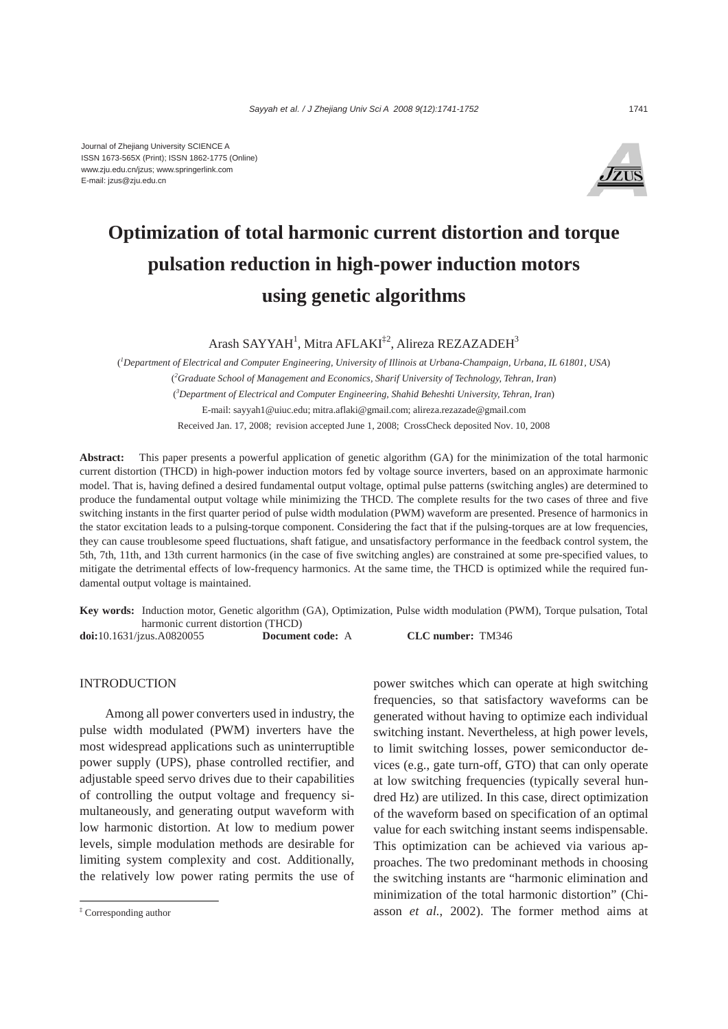

# **Optimization of total harmonic current distortion and torque pulsation reduction in high-power induction motors using genetic algorithms**

Arash SAYYAH<sup>1</sup>, Mitra AFLAKI<sup>‡2</sup>, Alireza REZAZADEH<sup>3</sup>

( *1 Department of Electrical and Computer Engineering, University of Illinois at Urbana-Champaign, Urbana, IL 61801, USA*) ( *2 Graduate School of Management and Economics, Sharif University of Technology, Tehran, Iran*) ( *3 Department of Electrical and Computer Engineering, Shahid Beheshti University, Tehran, Iran*) E-mail: sayyah1@uiuc.edu; mitra.aflaki@gmail.com; alireza.rezazade@gmail.com Received Jan. 17, 2008; revision accepted June 1, 2008; CrossCheck deposited Nov. 10, 2008

**Abstract:** This paper presents a powerful application of genetic algorithm (GA) for the minimization of the total harmonic current distortion (THCD) in high-power induction motors fed by voltage source inverters, based on an approximate harmonic model. That is, having defined a desired fundamental output voltage, optimal pulse patterns (switching angles) are determined to produce the fundamental output voltage while minimizing the THCD. The complete results for the two cases of three and five switching instants in the first quarter period of pulse width modulation (PWM) waveform are presented. Presence of harmonics in the stator excitation leads to a pulsing-torque component. Considering the fact that if the pulsing-torques are at low frequencies, they can cause troublesome speed fluctuations, shaft fatigue, and unsatisfactory performance in the feedback control system, the 5th, 7th, 11th, and 13th current harmonics (in the case of five switching angles) are constrained at some pre-specified values, to mitigate the detrimental effects of low-frequency harmonics. At the same time, the THCD is optimized while the required fundamental output voltage is maintained.

**Key words:** Induction motor, Genetic algorithm (GA), Optimization, Pulse width modulation (PWM), Torque pulsation, Total harmonic current distortion (THCD) **doi:**10.1631/jzus.A0820055 **Document code:** A **CLC number:** TM346

# **INTRODUCTION**

Among all power converters used in industry, the pulse width modulated (PWM) inverters have the most widespread applications such as uninterruptible power supply (UPS), phase controlled rectifier, and adjustable speed servo drives due to their capabilities of controlling the output voltage and frequency simultaneously, and generating output waveform with low harmonic distortion. At low to medium power levels, simple modulation methods are desirable for limiting system complexity and cost. Additionally, the relatively low power rating permits the use of power switches which can operate at high switching frequencies, so that satisfactory waveforms can be generated without having to optimize each individual switching instant. Nevertheless, at high power levels, to limit switching losses, power semiconductor devices (e.g., gate turn-off, GTO) that can only operate at low switching frequencies (typically several hundred Hz) are utilized. In this case, direct optimization of the waveform based on specification of an optimal value for each switching instant seems indispensable. This optimization can be achieved via various approaches. The two predominant methods in choosing the switching instants are "harmonic elimination and minimization of the total harmonic distortion" (Chiasson *et al.*, 2002). The former method aims at

<sup>‡</sup> Corresponding author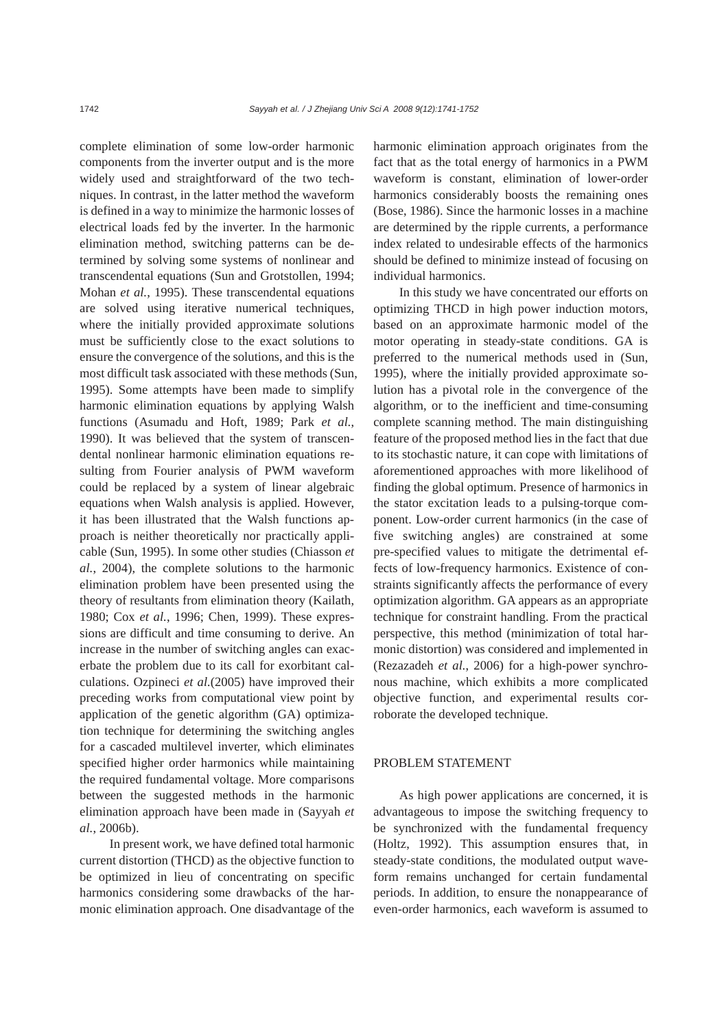complete elimination of some low-order harmonic components from the inverter output and is the more widely used and straightforward of the two techniques. In contrast, in the latter method the waveform is defined in a way to minimize the harmonic losses of electrical loads fed by the inverter. In the harmonic elimination method, switching patterns can be determined by solving some systems of nonlinear and transcendental equations (Sun and Grotstollen, 1994; Mohan *et al.*, 1995). These transcendental equations are solved using iterative numerical techniques, where the initially provided approximate solutions must be sufficiently close to the exact solutions to ensure the convergence of the solutions, and this is the most difficult task associated with these methods (Sun, 1995). Some attempts have been made to simplify harmonic elimination equations by applying Walsh functions (Asumadu and Hoft, 1989; Park *et al.*, 1990). It was believed that the system of transcendental nonlinear harmonic elimination equations resulting from Fourier analysis of PWM waveform could be replaced by a system of linear algebraic equations when Walsh analysis is applied. However, it has been illustrated that the Walsh functions approach is neither theoretically nor practically applicable (Sun, 1995). In some other studies (Chiasson *et al.*, 2004), the complete solutions to the harmonic elimination problem have been presented using the theory of resultants from elimination theory (Kailath, 1980; Cox *et al.*, 1996; Chen, 1999). These expressions are difficult and time consuming to derive. An increase in the number of switching angles can exacerbate the problem due to its call for exorbitant calculations. Ozpineci *et al.*(2005) have improved their preceding works from computational view point by application of the genetic algorithm (GA) optimization technique for determining the switching angles for a cascaded multilevel inverter, which eliminates specified higher order harmonics while maintaining the required fundamental voltage. More comparisons between the suggested methods in the harmonic elimination approach have been made in (Sayyah *et al.*, 2006b).

In present work, we have defined total harmonic current distortion (THCD) as the objective function to be optimized in lieu of concentrating on specific harmonics considering some drawbacks of the harmonic elimination approach. One disadvantage of the harmonic elimination approach originates from the fact that as the total energy of harmonics in a PWM waveform is constant, elimination of lower-order harmonics considerably boosts the remaining ones (Bose, 1986). Since the harmonic losses in a machine are determined by the ripple currents, a performance index related to undesirable effects of the harmonics should be defined to minimize instead of focusing on individual harmonics.

In this study we have concentrated our efforts on optimizing THCD in high power induction motors, based on an approximate harmonic model of the motor operating in steady-state conditions. GA is preferred to the numerical methods used in (Sun, 1995), where the initially provided approximate solution has a pivotal role in the convergence of the algorithm, or to the inefficient and time-consuming complete scanning method. The main distinguishing feature of the proposed method lies in the fact that due to its stochastic nature, it can cope with limitations of aforementioned approaches with more likelihood of finding the global optimum. Presence of harmonics in the stator excitation leads to a pulsing-torque component. Low-order current harmonics (in the case of five switching angles) are constrained at some pre-specified values to mitigate the detrimental effects of low-frequency harmonics. Existence of constraints significantly affects the performance of every optimization algorithm. GA appears as an appropriate technique for constraint handling. From the practical perspective, this method (minimization of total harmonic distortion) was considered and implemented in (Rezazadeh *et al.*, 2006) for a high-power synchronous machine, which exhibits a more complicated objective function, and experimental results corroborate the developed technique.

# PROBLEM STATEMENT

As high power applications are concerned, it is advantageous to impose the switching frequency to be synchronized with the fundamental frequency (Holtz, 1992). This assumption ensures that, in steady-state conditions, the modulated output waveform remains unchanged for certain fundamental periods. In addition, to ensure the nonappearance of even-order harmonics, each waveform is assumed to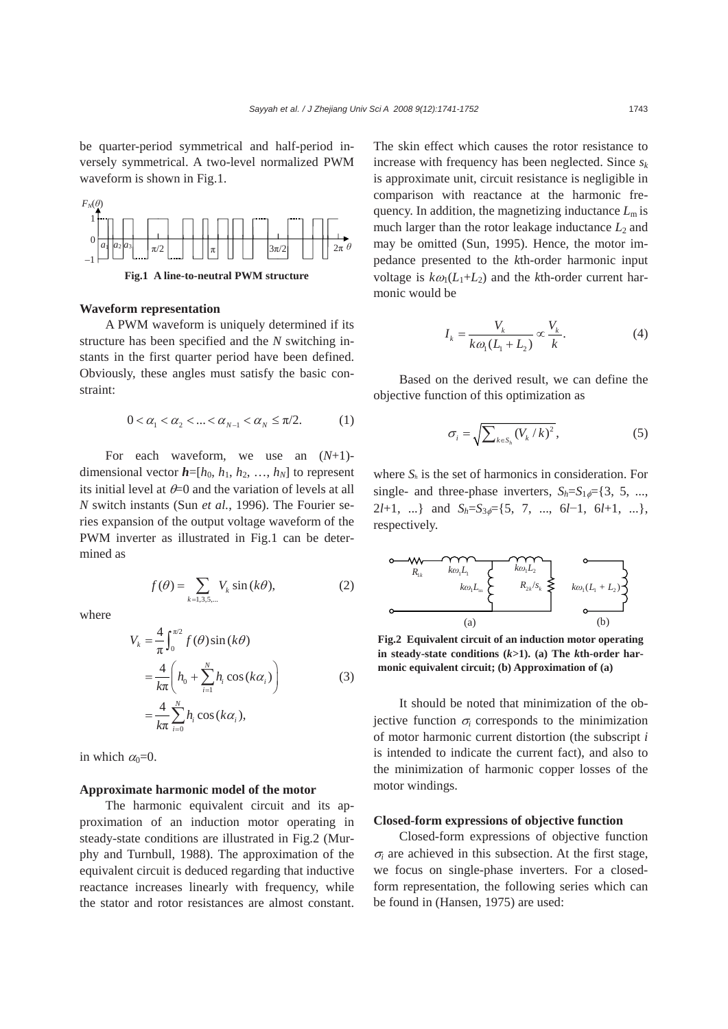be quarter-period symmetrical and half-period inversely symmetrical. A two-level normalized PWM waveform is shown in Fig.1.



**Fig.1 A line-to-neutral PWM structure**

#### **Waveform representation**

A PWM waveform is uniquely determined if its structure has been specified and the *N* switching instants in the first quarter period have been defined. Obviously, these angles must satisfy the basic constraint:

$$
0 < \alpha_1 < \alpha_2 < \dots < \alpha_{N-1} < \alpha_N \leq \pi/2. \tag{1}
$$

For each waveform, we use an (*N*+1) dimensional vector  $h=[h_0, h_1, h_2, ..., h_N]$  to represent its initial level at  $\theta = 0$  and the variation of levels at all *N* switch instants (Sun *et al.*, 1996). The Fourier series expansion of the output voltage waveform of the PWM inverter as illustrated in Fig.1 can be determined as

$$
f(\theta) = \sum_{k=1,3,5,\dots} V_k \sin(k\theta),\tag{2}
$$

where

$$
V_k = \frac{4}{\pi} \int_0^{\pi/2} f(\theta) \sin(k\theta)
$$
  
=  $\frac{4}{k\pi} \left( h_0 + \sum_{i=1}^N h_i \cos(k\alpha_i) \right)$  (3)  
=  $\frac{4}{k\pi} \sum_{i=0}^N h_i \cos(k\alpha_i),$ 

in which  $\alpha_0=0$ .

#### **Approximate harmonic model of the motor**

The harmonic equivalent circuit and its approximation of an induction motor operating in steady-state conditions are illustrated in Fig.2 (Murphy and Turnbull, 1988). The approximation of the equivalent circuit is deduced regarding that inductive reactance increases linearly with frequency, while the stator and rotor resistances are almost constant.

The skin effect which causes the rotor resistance to increase with frequency has been neglected. Since  $s_k$ is approximate unit, circuit resistance is negligible in comparison with reactance at the harmonic frequency. In addition, the magnetizing inductance  $L<sub>m</sub>$  is much larger than the rotor leakage inductance  $L_2$  and may be omitted (Sun, 1995). Hence, the motor impedance presented to the *k*th-order harmonic input voltage is  $k\omega_1(L_1+L_2)$  and the *k*th-order current harmonic would be

$$
I_k = \frac{V_k}{k\omega_1(L_1 + L_2)} \propto \frac{V_k}{k}.
$$
 (4)

Based on the derived result, we can define the objective function of this optimization as

$$
\sigma_i = \sqrt{\sum_{k \in S_h} (V_k / k)^2}, \qquad (5)
$$

where  $S_h$  is the set of harmonics in consideration. For single- and three-phase inverters,  $S_h = S_1 \neq \{3, 5, \ldots,$ 2*l*+1, ...} and *S<sub>h</sub>*=*S*<sub>3φ</sub>={5, 7, ..., 6*l*−1, 6*l*+1, ...}, respectively.



**Fig.2 Equivalent circuit of an induction motor operating**  in steady-state conditions  $(k>1)$ . (a) The  $k$ <sup>th</sup>-order har**monic equivalent circuit; (b) Approximation of (a)** 

It should be noted that minimization of the objective function  $\sigma_i$  corresponds to the minimization of motor harmonic current distortion (the subscript *i* is intended to indicate the current fact), and also to the minimization of harmonic copper losses of the motor windings.

# **Closed-form expressions of objective function**

Closed-form expressions of objective function  $\sigma_i$  are achieved in this subsection. At the first stage, we focus on single-phase inverters. For a closedform representation, the following series which can be found in (Hansen, 1975) are used: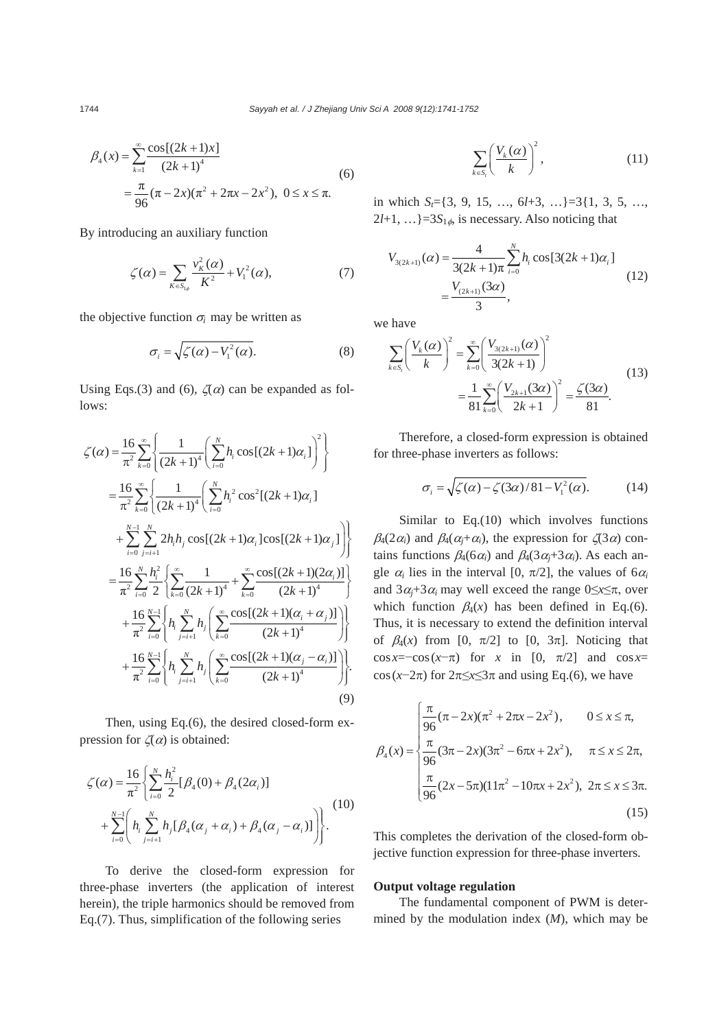$$
\beta_4(x) = \sum_{k=1}^{\infty} \frac{\cos[(2k+1)x]}{(2k+1)^4}
$$
\n
$$
= \frac{\pi}{96} (\pi - 2x)(\pi^2 + 2\pi x - 2x^2), \ 0 \le x \le \pi.
$$
\n(6)

By introducing an auxiliary function

$$
\zeta(\alpha) = \sum_{K \in S_{1\phi}} \frac{v_K^2(\alpha)}{K^2} + V_1^2(\alpha),\tag{7}
$$

the objective function  $\sigma_i$  may be written as

$$
\sigma_i = \sqrt{\zeta(\alpha) - V_1^2(\alpha)}.
$$
 (8)

Using Eqs.(3) and (6),  $\zeta(\alpha)$  can be expanded as follows:

$$
\zeta(\alpha) = \frac{16}{\pi^2} \sum_{k=0}^{\infty} \left\{ \frac{1}{(2k+1)^4} \left( \sum_{i=0}^{N} h_i \cos[(2k+1)\alpha_i] \right)^2 \right\}
$$
  
\n
$$
= \frac{16}{\pi^2} \sum_{k=0}^{\infty} \left\{ \frac{1}{(2k+1)^4} \left( \sum_{i=0}^{N} h_i^2 \cos^2[(2k+1)\alpha_i] \right) + \sum_{i=0}^{N-1} \sum_{j=i+1}^{N} 2h_i h_j \cos[(2k+1)\alpha_i] \cos[(2k+1)\alpha_j] \right\}
$$
  
\n
$$
= \frac{16}{\pi^2} \sum_{i=0}^{N} \frac{h_i^2}{2} \left\{ \sum_{k=0}^{\infty} \frac{1}{(2k+1)^4} + \sum_{k=0}^{\infty} \frac{\cos[(2k+1)(2\alpha_i)]}{(2k+1)^4} \right\}
$$
  
\n
$$
+ \frac{16}{\pi^2} \sum_{i=0}^{N-1} \left\{ h_i \sum_{j=i+1}^{N} h_j \left( \sum_{k=0}^{\infty} \frac{\cos[(2k+1)(\alpha_i + \alpha_j)]}{(2k+1)^4} \right) \right\}
$$
  
\n
$$
+ \frac{16}{\pi^2} \sum_{i=0}^{N-1} \left\{ h_i \sum_{j=i+1}^{N} h_j \left( \sum_{k=0}^{\infty} \frac{\cos[(2k+1)(\alpha_j - \alpha_i)]}{(2k+1)^4} \right) \right\}.
$$
  
\n(9)

Then, using Eq.(6), the desired closed-form expression for  $\zeta(\alpha)$  is obtained:

$$
\zeta(\alpha) = \frac{16}{\pi^2} \left\{ \sum_{i=0}^N \frac{h_i^2}{2} [\beta_4(0) + \beta_4(2\alpha_i)] + \sum_{i=0}^{N-1} \left( h_i \sum_{j=i+1}^N h_j [\beta_4(\alpha_j + \alpha_i) + \beta_4(\alpha_j - \alpha_i)] \right) \right\}.
$$
\n(10)

To derive the closed-form expression for three-phase inverters (the application of interest herein), the triple harmonics should be removed from Eq.(7). Thus, simplification of the following series

$$
\sum_{k \in S_t} \left( \frac{V_k(\alpha)}{k} \right)^2, \tag{11}
$$

in which  $S_t = \{3, 9, 15, ..., 6l + 3, ...\} = 3\{1, 3, 5, ...,$  $2l+1, \ldots$ }=3 $S_{1\phi}$ , is necessary. Also noticing that

$$
V_{3(2k+1)}(\alpha) = \frac{4}{3(2k+1)\pi} \sum_{i=0}^{N} h_i \cos[3(2k+1)\alpha_i]
$$
  
= 
$$
\frac{V_{(2k+1)}(3\alpha)}{3},
$$
 (12)

we have

$$
\sum_{k \in S_t} \left( \frac{V_k(\alpha)}{k} \right)^2 = \sum_{k=0}^{\infty} \left( \frac{V_{3(2k+1)}(\alpha)}{3(2k+1)} \right)^2
$$
  
= 
$$
\frac{1}{81} \sum_{k=0}^{\infty} \left( \frac{V_{2k+1}(3\alpha)}{2k+1} \right)^2 = \frac{\zeta(3\alpha)}{81}.
$$
 (13)

Therefore, a closed-form expression is obtained for three-phase inverters as follows:

$$
\sigma_i = \sqrt{\zeta(\alpha) - \zeta(3\alpha)/81 - V_1^2(\alpha)}.
$$
 (14)

Similar to Eq.(10) which involves functions  $\beta_4(2\alpha_i)$  and  $\beta_4(\alpha_i+\alpha_i)$ , the expression for  $\zeta(3\alpha)$  contains functions  $\beta_4(6\alpha_i)$  and  $\beta_4(3\alpha_i+3\alpha_i)$ . As each angle  $\alpha_i$  lies in the interval [0,  $\pi/2$ ], the values of  $6\alpha_i$ and  $3\alpha_i+3\alpha_i$  may well exceed the range  $0\leq x\leq \pi$ , over which function  $\beta_4(x)$  has been defined in Eq.(6). Thus, it is necessary to extend the definition interval of  $\beta_4(x)$  from [0,  $\pi/2$ ] to [0,  $3\pi$ ]. Noticing that  $\cos x = -\cos(x-\pi)$  for *x* in [0,  $\pi/2$ ] and  $\cos x =$ cos( $x-2\pi$ ) for  $2\pi \le x \le 3\pi$  and using Eq.(6), we have

$$
\beta_4(x) = \begin{cases}\n\frac{\pi}{96}(\pi - 2x)(\pi^2 + 2\pi x - 2x^2), & 0 \le x \le \pi, \\
\frac{\pi}{96}(3\pi - 2x)(3\pi^2 - 6\pi x + 2x^2), & \pi \le x \le 2\pi, \\
\frac{\pi}{96}(2x - 5\pi)(11\pi^2 - 10\pi x + 2x^2), & 2\pi \le x \le 3\pi.\n\end{cases}
$$
\n(15)

This completes the derivation of the closed-form objective function expression for three-phase inverters.

### **Output voltage regulation**

The fundamental component of PWM is determined by the modulation index (*M*), which may be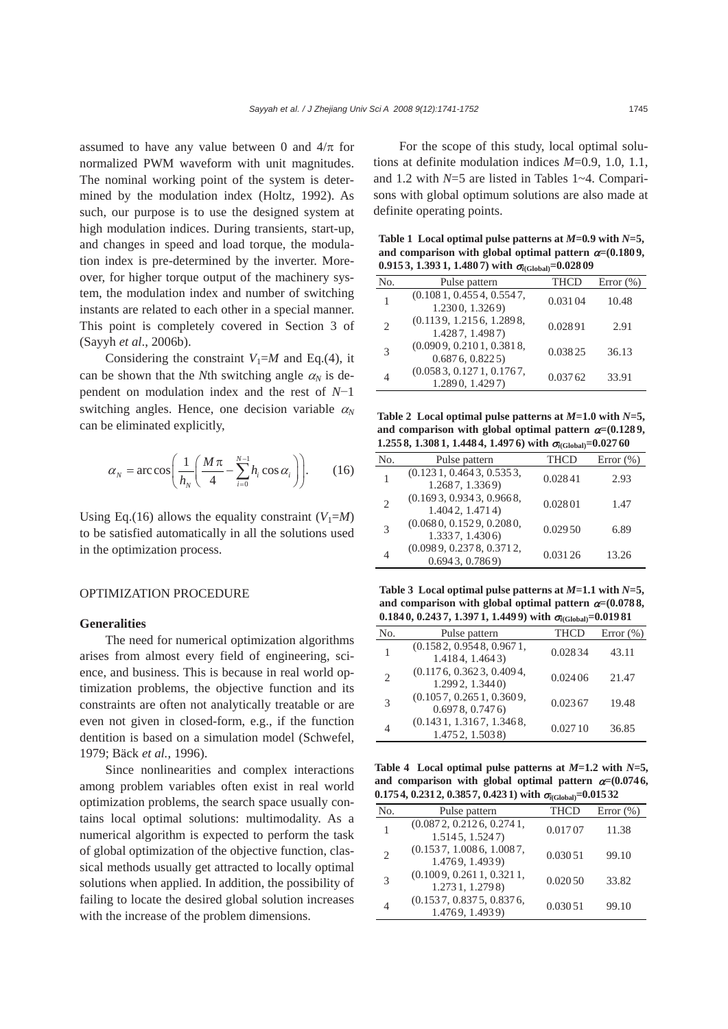assumed to have any value between 0 and  $4/\pi$  for normalized PWM waveform with unit magnitudes. The nominal working point of the system is determined by the modulation index (Holtz, 1992). As such, our purpose is to use the designed system at high modulation indices. During transients, start-up, and changes in speed and load torque, the modulation index is pre-determined by the inverter. Moreover, for higher torque output of the machinery system, the modulation index and number of switching instants are related to each other in a special manner. This point is completely covered in Section 3 of (Sayyh *et al*., 2006b).

Considering the constraint  $V_1 = M$  and Eq.(4), it can be shown that the *N*th switching angle  $\alpha_N$  is dependent on modulation index and the rest of *N*−1 switching angles. Hence, one decision variable  $\alpha$ <sup>*N*</sup> can be eliminated explicitly,

$$
\alpha_N = \arccos\bigg(\frac{1}{h_N}\bigg(\frac{M\pi}{4} - \sum_{i=0}^{N-1} h_i \cos \alpha_i\bigg)\bigg). \qquad (16)
$$

Using Eq.(16) allows the equality constraint  $(V_1 = M)$ to be satisfied automatically in all the solutions used in the optimization process.

# OPTIMIZATION PROCEDURE

#### **Generalities**

The need for numerical optimization algorithms arises from almost every field of engineering, science, and business. This is because in real world optimization problems, the objective function and its constraints are often not analytically treatable or are even not given in closed-form, e.g., if the function dentition is based on a simulation model (Schwefel, 1979; Bäck *et al.*, 1996).

Since nonlinearities and complex interactions among problem variables often exist in real world optimization problems, the search space usually contains local optimal solutions: multimodality. As a numerical algorithm is expected to perform the task of global optimization of the objective function, classical methods usually get attracted to locally optimal solutions when applied. In addition, the possibility of failing to locate the desired global solution increases with the increase of the problem dimensions.

For the scope of this study, local optimal solutions at definite modulation indices *M*=0.9, 1.0, 1.1, and 1.2 with *N*=5 are listed in Tables 1~4. Comparisons with global optimum solutions are also made at definite operating points.

Table 1 Local optimal pulse patterns at  $M=0.9$  with  $N=5$ , and comparison with global optimal pattern  $\alpha = (0.1809,$ **0.915 3, 1.393 1, 1.480 7) with** <sup>σ</sup>*i***(Global)=0.028 09** 

| No. | Pulse pattern                               | <b>THCD</b> | Error $(\% )$ |  |
|-----|---------------------------------------------|-------------|---------------|--|
|     | (0.1081, 0.4554, 0.5547,<br>1.2300, 1.3269) | 0.03104     | 10.48         |  |
| 2   | (0.1139, 1.2156, 1.2898,<br>1.4287, 1.4987) | 0.02891     | 2.91          |  |
| 3   | (0.0909, 0.2101, 0.3818,<br>0.6876, 0.8225  | 0.03825     | 36.13         |  |
|     | (0.0583, 0.1271, 0.1767,<br>1.2890, 1.4297) | 0.03762     | 33.91         |  |

Table 2 Local optimal pulse patterns at  $M=1.0$  with  $N=5$ , and comparison with global optimal pattern  $\alpha = (0.1289,$ **1.255 8, 1.308 1, 1.448 4, 1.497 6**) with  $\sigma$ <sub>*i*</sub>(Global)=0.027 **60** 

|     |                                             | ,,,,,,,,,,, |              |
|-----|---------------------------------------------|-------------|--------------|
| No. | Pulse pattern                               | <b>THCD</b> | Error $(\%)$ |
|     | (0.1231, 0.4643, 0.5353,<br>1.2687, 1.3369) | 0.02841     | 2.93         |
| 2   | (0.1693, 0.9343, 0.9668,<br>1.4042, 1.4714  | 0.02801     | 1.47         |
| 3   | (0.0680, 0.1529, 0.2080,<br>1.3337, 1.4306) | 0.02950     | 6.89         |
|     | (0.0989, 0.2378, 0.3712,<br>0.6943, 0.7869  | 0.03126     | 13.26        |

**Table 3 Local optimal pulse patterns at** *M***=1.1 with** *N***=5,**  and comparison with global optimal pattern  $\alpha$ =(0.0788, **0.184 0, 0.243 7, 1.397 1, 1.449 9) with** <sup>σ</sup>*i***(Global)=0.019 81** 

| No.            | Pulse pattern                               | <b>THCD</b> | Error $(\% )$ |
|----------------|---------------------------------------------|-------------|---------------|
| 1              | (0.1582, 0.9548, 0.9671,<br>1.4184, 1.4643) | 0.02834     | 43.11         |
| $\overline{c}$ | (0.1176, 0.3623, 0.4094,<br>1.2992, 1.3440  | 0.02406     | 21.47         |
| 3              | (0.1057, 0.2651, 0.3609,<br>0.6978, 0.7476  | 0.02367     | 19.48         |
| 4              | (0.1431, 1.3167, 1.3468,<br>1.4752, 1.5038) | 0.02710     | 36.85         |

**Table 4 Local optimal pulse patterns at** *M***=1.2 with** *N***=5,**  and comparison with global optimal pattern  $\alpha$ =(0.0746, **0.1754, 0.2312, 0.3857, 0.4231) with** <sup>σ</sup>*i***(Global)=0.01532** 

| No.            | Pulse pattern                               | <b>THCD</b> | Error $(\% )$ |
|----------------|---------------------------------------------|-------------|---------------|
| 1              | (0.0872, 0.2126, 0.2741,<br>1.5145, 1.5247) | 0.01707     | 11.38         |
| $\overline{2}$ | (0.1537, 1.0086, 1.0087,<br>1.4769, 1.4939) | 0.03051     | 99.10         |
| 3              | (0.1009, 0.2611, 0.3211,<br>1.2731, 1.2798) | 0.02050     | 33.82         |
| 4              | (0.1537, 0.8375, 0.8376,<br>1.4769, 1.4939) | 0.03051     | 99.10         |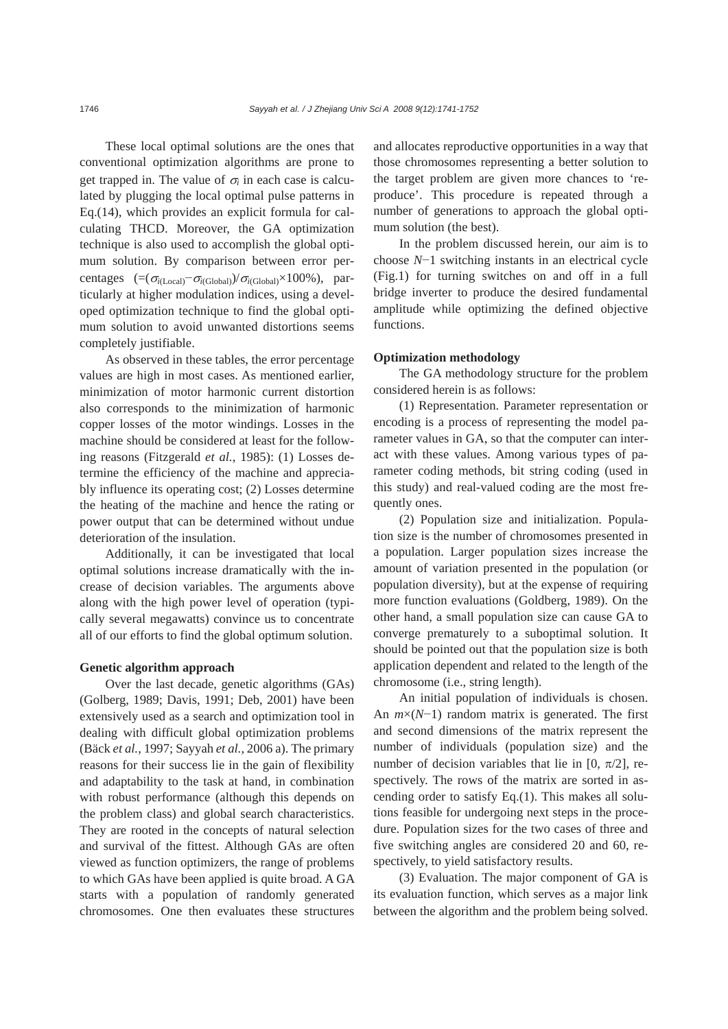These local optimal solutions are the ones that conventional optimization algorithms are prone to get trapped in. The value of  $\sigma_i$  in each case is calculated by plugging the local optimal pulse patterns in Eq.(14), which provides an explicit formula for calculating THCD. Moreover, the GA optimization technique is also used to accomplish the global optimum solution. By comparison between error percentages  $=(\sigma_{i(\text{Local})}-\sigma_{i(\text{Global})})/\sigma_{i(\text{Global})}\times 100\%$ ), particularly at higher modulation indices, using a developed optimization technique to find the global optimum solution to avoid unwanted distortions seems completely justifiable.

As observed in these tables, the error percentage values are high in most cases. As mentioned earlier, minimization of motor harmonic current distortion also corresponds to the minimization of harmonic copper losses of the motor windings. Losses in the machine should be considered at least for the following reasons (Fitzgerald *et al.*, 1985): (1) Losses determine the efficiency of the machine and appreciably influence its operating cost; (2) Losses determine the heating of the machine and hence the rating or power output that can be determined without undue deterioration of the insulation.

Additionally, it can be investigated that local optimal solutions increase dramatically with the increase of decision variables. The arguments above along with the high power level of operation (typically several megawatts) convince us to concentrate all of our efforts to find the global optimum solution.

#### **Genetic algorithm approach**

Over the last decade, genetic algorithms (GAs) (Golberg, 1989; Davis, 1991; Deb, 2001) have been extensively used as a search and optimization tool in dealing with difficult global optimization problems (Bäck *et al.*, 1997; Sayyah *et al.*, 2006 a). The primary reasons for their success lie in the gain of flexibility and adaptability to the task at hand, in combination with robust performance (although this depends on the problem class) and global search characteristics. They are rooted in the concepts of natural selection and survival of the fittest. Although GAs are often viewed as function optimizers, the range of problems to which GAs have been applied is quite broad. A GA starts with a population of randomly generated chromosomes. One then evaluates these structures and allocates reproductive opportunities in a way that those chromosomes representing a better solution to the target problem are given more chances to 'reproduce'. This procedure is repeated through a number of generations to approach the global optimum solution (the best).

In the problem discussed herein, our aim is to choose *N*−1 switching instants in an electrical cycle (Fig.1) for turning switches on and off in a full bridge inverter to produce the desired fundamental amplitude while optimizing the defined objective functions.

## **Optimization methodology**

The GA methodology structure for the problem considered herein is as follows:

(1) Representation. Parameter representation or encoding is a process of representing the model parameter values in GA, so that the computer can interact with these values. Among various types of parameter coding methods, bit string coding (used in this study) and real-valued coding are the most frequently ones.

(2) Population size and initialization. Population size is the number of chromosomes presented in a population. Larger population sizes increase the amount of variation presented in the population (or population diversity), but at the expense of requiring more function evaluations (Goldberg, 1989). On the other hand, a small population size can cause GA to converge prematurely to a suboptimal solution. It should be pointed out that the population size is both application dependent and related to the length of the chromosome (i.e., string length).

An initial population of individuals is chosen. An *m*×(*N*−1) random matrix is generated. The first and second dimensions of the matrix represent the number of individuals (population size) and the number of decision variables that lie in [0,  $\pi/2$ ], respectively. The rows of the matrix are sorted in ascending order to satisfy Eq.(1). This makes all solutions feasible for undergoing next steps in the procedure. Population sizes for the two cases of three and five switching angles are considered 20 and 60, respectively, to yield satisfactory results.

(3) Evaluation. The major component of GA is its evaluation function, which serves as a major link between the algorithm and the problem being solved.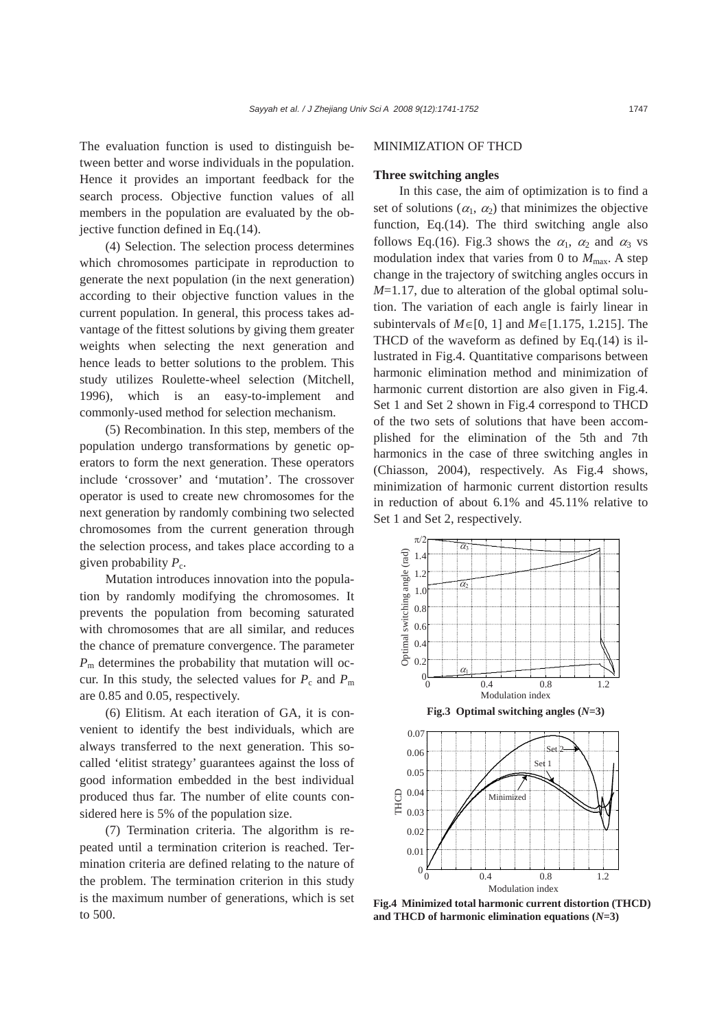The evaluation function is used to distinguish between better and worse individuals in the population. Hence it provides an important feedback for the search process. Objective function values of all members in the population are evaluated by the objective function defined in Eq.(14).

(4) Selection. The selection process determines which chromosomes participate in reproduction to generate the next population (in the next generation) according to their objective function values in the current population. In general, this process takes advantage of the fittest solutions by giving them greater weights when selecting the next generation and hence leads to better solutions to the problem. This study utilizes Roulette-wheel selection (Mitchell, 1996), which is an easy-to-implement and commonly-used method for selection mechanism.

(5) Recombination. In this step, members of the population undergo transformations by genetic operators to form the next generation. These operators include 'crossover' and 'mutation'. The crossover operator is used to create new chromosomes for the next generation by randomly combining two selected chromosomes from the current generation through the selection process, and takes place according to a given probability  $P_c$ .

Mutation introduces innovation into the population by randomly modifying the chromosomes. It prevents the population from becoming saturated with chromosomes that are all similar, and reduces the chance of premature convergence. The parameter *P*m determines the probability that mutation will occur. In this study, the selected values for  $P_c$  and  $P_m$ are 0*.*85 and 0*.*05, respectively.

(6) Elitism. At each iteration of GA, it is convenient to identify the best individuals, which are always transferred to the next generation. This socalled 'elitist strategy' guarantees against the loss of good information embedded in the best individual produced thus far. The number of elite counts considered here is 5% of the population size.

(7) Termination criteria. The algorithm is repeated until a termination criterion is reached. Termination criteria are defined relating to the nature of the problem. The termination criterion in this study is the maximum number of generations, which is set to 500.

# MINIMIZATION OF THCD

#### **Three switching angles**

In this case, the aim of optimization is to find a set of solutions ( $\alpha_1$ ,  $\alpha_2$ ) that minimizes the objective function, Eq.(14). The third switching angle also follows Eq.(16). Fig.3 shows the  $\alpha_1$ ,  $\alpha_2$  and  $\alpha_3$  vs modulation index that varies from 0 to  $M_{\text{max}}$ . A step change in the trajectory of switching angles occurs in *M*=1*.*17, due to alteration of the global optimal solution. The variation of each angle is fairly linear in subintervals of *M*∈[0, 1] and *M*∈[1.175, 1.215]. The THCD of the waveform as defined by Eq.(14) is illustrated in Fig.4. Quantitative comparisons between harmonic elimination method and minimization of harmonic current distortion are also given in Fig.4. Set 1 and Set 2 shown in Fig.4 correspond to THCD of the two sets of solutions that have been accomplished for the elimination of the 5th and 7th harmonics in the case of three switching angles in (Chiasson, 2004), respectively. As Fig.4 shows, minimization of harmonic current distortion results in reduction of about 6*.*1% and 45*.*11% relative to Set 1 and Set 2, respectively.



**Fig.4 Minimized total harmonic current distortion (THCD) and THCD of harmonic elimination equations (***N***=3)**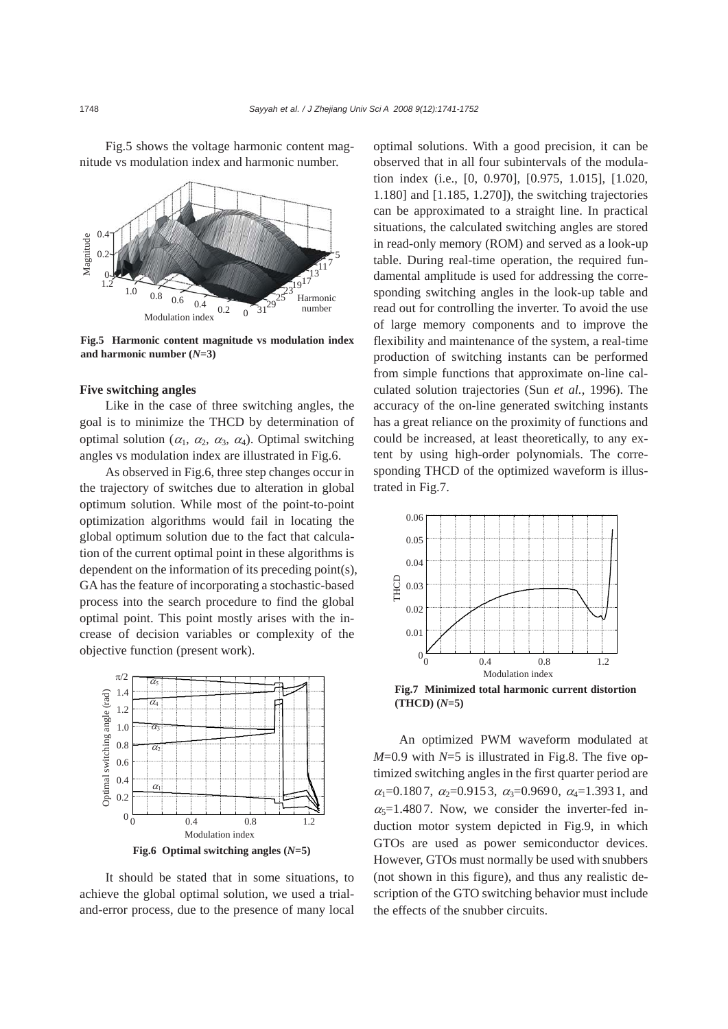Fig.5 shows the voltage harmonic content magnitude vs modulation index and harmonic number.



**Fig.5 Harmonic content magnitude vs modulation index and harmonic number (***N***=3)** 

#### **Five switching angles**

Like in the case of three switching angles, the goal is to minimize the THCD by determination of optimal solution ( $\alpha_1$ ,  $\alpha_2$ ,  $\alpha_3$ ,  $\alpha_4$ ). Optimal switching angles vs modulation index are illustrated in Fig.6.

As observed in Fig.6, three step changes occur in the trajectory of switches due to alteration in global optimum solution. While most of the point-to-point optimization algorithms would fail in locating the global optimum solution due to the fact that calculation of the current optimal point in these algorithms is dependent on the information of its preceding point(s), GA has the feature of incorporating a stochastic-based process into the search procedure to find the global optimal point. This point mostly arises with the increase of decision variables or complexity of the objective function (present work).



It should be stated that in some situations, to achieve the global optimal solution, we used a trialand-error process, due to the presence of many local

optimal solutions. With a good precision, it can be observed that in all four subintervals of the modulation index (i.e., [0, 0.970], [0.975, 1.015], [1.020, 1.180] and [1.185, 1.270]), the switching trajectories can be approximated to a straight line. In practical situations, the calculated switching angles are stored in read-only memory (ROM) and served as a look-up table. During real-time operation, the required fundamental amplitude is used for addressing the corresponding switching angles in the look-up table and read out for controlling the inverter. To avoid the use of large memory components and to improve the flexibility and maintenance of the system, a real-time production of switching instants can be performed from simple functions that approximate on-line calculated solution trajectories (Sun *et al.*, 1996). The accuracy of the on-line generated switching instants has a great reliance on the proximity of functions and could be increased, at least theoretically, to any extent by using high-order polynomials. The corresponding THCD of the optimized waveform is illustrated in Fig.7.



**Fig.7 Minimized total harmonic current distortion (THCD) (***N***=5)**

An optimized PWM waveform modulated at  $M=0.9$  with  $N=5$  is illustrated in Fig.8. The five optimized switching angles in the first quarter period are  $\alpha_1 = 0.1807$ ,  $\alpha_2 = 0.9153$ ,  $\alpha_3 = 0.9690$ ,  $\alpha_4 = 1.3931$ , and  $\alpha_5$ =1.4807. Now, we consider the inverter-fed induction motor system depicted in Fig.9, in which GTOs are used as power semiconductor devices. However, GTOs must normally be used with snubbers (not shown in this figure), and thus any realistic description of the GTO switching behavior must include the effects of the snubber circuits.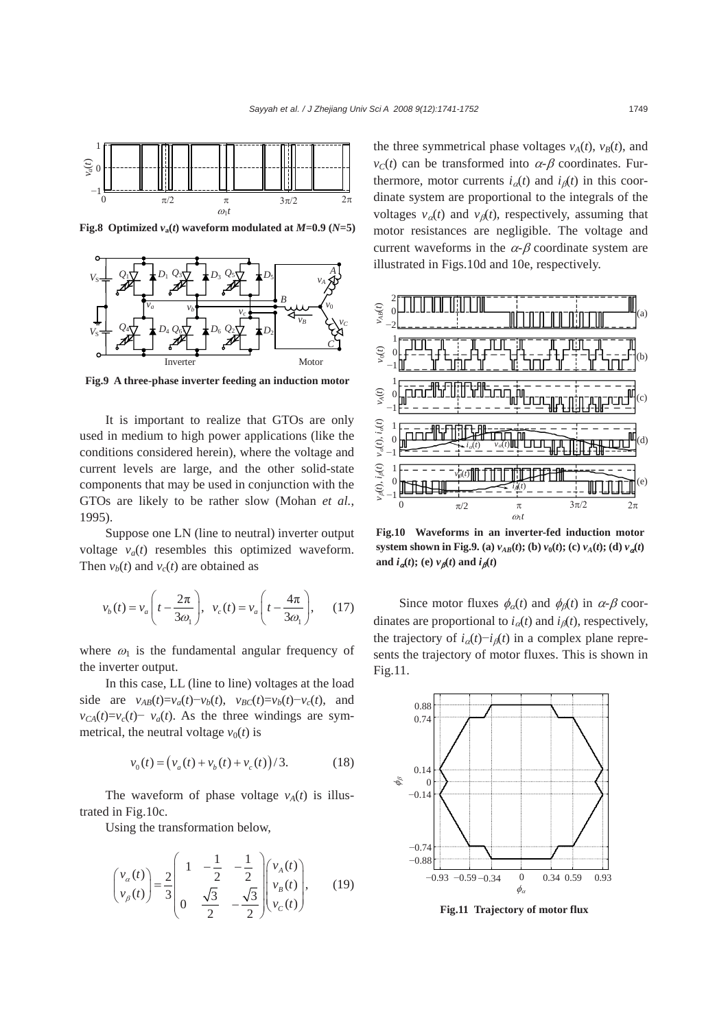

**Fig.8** Optimized  $v_a(t)$  waveform modulated at  $M=0.9$  ( $N=5$ )



**Fig.9 A three-phase inverter feeding an induction motor**

It is important to realize that GTOs are only used in medium to high power applications (like the conditions considered herein), where the voltage and current levels are large, and the other solid-state components that may be used in conjunction with the GTOs are likely to be rather slow (Mohan *et al.*, 1995).

Suppose one LN (line to neutral) inverter output voltage  $v_a(t)$  resembles this optimized waveform. Then  $v_b(t)$  and  $v_c(t)$  are obtained as

$$
v_b(t) = v_a \left( t - \frac{2\pi}{3\omega_1} \right), \quad v_c(t) = v_a \left( t - \frac{4\pi}{3\omega_1} \right), \tag{17}
$$

where  $\omega_1$  is the fundamental angular frequency of the inverter output.

In this case, LL (line to line) voltages at the load side are  $v_{AB}(t)=v_a(t)-v_b(t)$ ,  $v_{BC}(t)=v_b(t)-v_c(t)$ , and  $v_{CA}(t)=v_c(t) - v_a(t)$ . As the three windings are symmetrical, the neutral voltage  $v_0(t)$  is

$$
v_0(t) = (v_a(t) + v_b(t) + v_c(t))/3.
$$
 (18)

The waveform of phase voltage  $v_A(t)$  is illustrated in Fig.10c.

Using the transformation below,

$$
\begin{pmatrix} v_a(t) \\ v_\beta(t) \end{pmatrix} = \frac{2}{3} \begin{pmatrix} 1 & -\frac{1}{2} & -\frac{1}{2} \\ 0 & \frac{\sqrt{3}}{2} & -\frac{\sqrt{3}}{2} \end{pmatrix} \begin{pmatrix} v_A(t) \\ v_B(t) \\ v_C(t) \end{pmatrix}, \qquad (19)
$$

the three symmetrical phase voltages  $v_A(t)$ ,  $v_B(t)$ , and  $v_c(t)$  can be transformed into  $\alpha$ - $\beta$  coordinates. Furthermore, motor currents  $i_{\alpha}(t)$  and  $i_{\beta}(t)$  in this coordinate system are proportional to the integrals of the voltages  $v<sub>0</sub>(t)$  and  $v<sub>0</sub>(t)$ , respectively, assuming that motor resistances are negligible. The voltage and current waveforms in the  $\alpha$ - $\beta$  coordinate system are illustrated in Figs.10d and 10e, respectively.



**Fig.10 Waveforms in an inverter-fed induction motor system shown in Fig.9.** (a)  $v_{AB}(t)$ ; (b)  $v_0(t)$ ; (c)  $v_A(t)$ ; (d)  $v_a(t)$ **and**  $i_{\alpha}(t)$ ; (e)  $v_{\beta}(t)$  and  $i_{\beta}(t)$ 

Since motor fluxes  $\phi_{\alpha}(t)$  and  $\phi_{\beta}(t)$  in  $\alpha$ - $\beta$  coordinates are proportional to  $i_{\alpha}(t)$  and  $i_{\beta}(t)$ , respectively, the trajectory of  $i_{\alpha}(t)$ − $i_{\beta}(t)$  in a complex plane represents the trajectory of motor fluxes. This is shown in Fig.11.



**Fig.11 Trajectory of motor flux**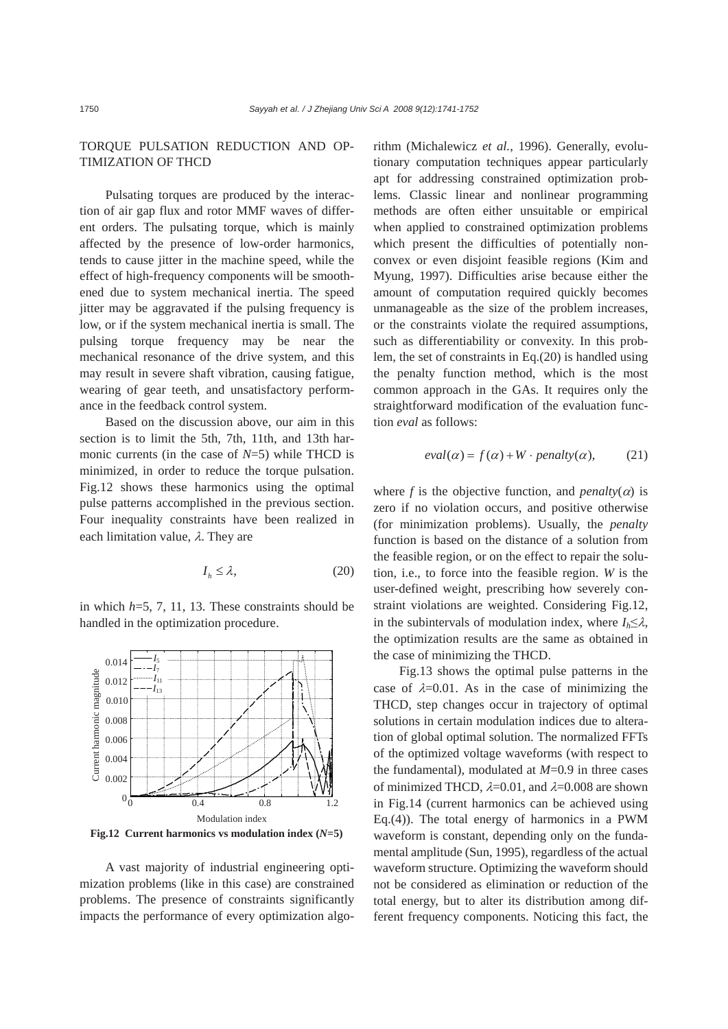# TORQUE PULSATION REDUCTION AND OP-TIMIZATION OF THCD

Pulsating torques are produced by the interaction of air gap flux and rotor MMF waves of different orders. The pulsating torque, which is mainly affected by the presence of low-order harmonics, tends to cause jitter in the machine speed, while the effect of high-frequency components will be smoothened due to system mechanical inertia. The speed jitter may be aggravated if the pulsing frequency is low, or if the system mechanical inertia is small. The pulsing torque frequency may be near the mechanical resonance of the drive system, and this may result in severe shaft vibration, causing fatigue, wearing of gear teeth, and unsatisfactory performance in the feedback control system.

Based on the discussion above, our aim in this section is to limit the 5th, 7th, 11th, and 13th harmonic currents (in the case of *N*=5) while THCD is minimized, in order to reduce the torque pulsation. Fig.12 shows these harmonics using the optimal pulse patterns accomplished in the previous section. Four inequality constraints have been realized in each limitation value,  $\lambda$ . They are

$$
I_h \le \lambda,\tag{20}
$$

in which *h*=5, 7, 11, 13. These constraints should be handled in the optimization procedure.



**Fig.12 Current harmonics vs modulation index (***N***=5)**

A vast majority of industrial engineering optimization problems (like in this case) are constrained problems. The presence of constraints significantly impacts the performance of every optimization algorithm (Michalewicz *et al.*, 1996). Generally, evolutionary computation techniques appear particularly apt for addressing constrained optimization problems. Classic linear and nonlinear programming methods are often either unsuitable or empirical when applied to constrained optimization problems which present the difficulties of potentially nonconvex or even disjoint feasible regions (Kim and Myung, 1997). Difficulties arise because either the amount of computation required quickly becomes unmanageable as the size of the problem increases, or the constraints violate the required assumptions, such as differentiability or convexity. In this problem, the set of constraints in Eq.(20) is handled using the penalty function method, which is the most common approach in the GAs. It requires only the straightforward modification of the evaluation function *eval* as follows:

$$
eval(\alpha) = f(\alpha) + W \cdot penalty(\alpha), \qquad (21)
$$

where *f* is the objective function, and *penalty*( $\alpha$ ) is zero if no violation occurs, and positive otherwise (for minimization problems). Usually, the *penalty* function is based on the distance of a solution from the feasible region, or on the effect to repair the solution, i.e., to force into the feasible region. *W* is the user-defined weight, prescribing how severely constraint violations are weighted. Considering Fig.12, in the subintervals of modulation index, where  $I_h \leq \lambda$ , the optimization results are the same as obtained in the case of minimizing the THCD.

Fig.13 shows the optimal pulse patterns in the case of  $\lambda$ =0.01. As in the case of minimizing the THCD, step changes occur in trajectory of optimal solutions in certain modulation indices due to alteration of global optimal solution. The normalized FFTs of the optimized voltage waveforms (with respect to the fundamental), modulated at *M*=0*.*9 in three cases of minimized THCD,  $\lambda$ =0.01, and  $\lambda$ =0.008 are shown in Fig.14 (current harmonics can be achieved using Eq.(4)). The total energy of harmonics in a PWM waveform is constant, depending only on the fundamental amplitude (Sun, 1995), regardless of the actual waveform structure. Optimizing the waveform should not be considered as elimination or reduction of the total energy, but to alter its distribution among different frequency components. Noticing this fact, the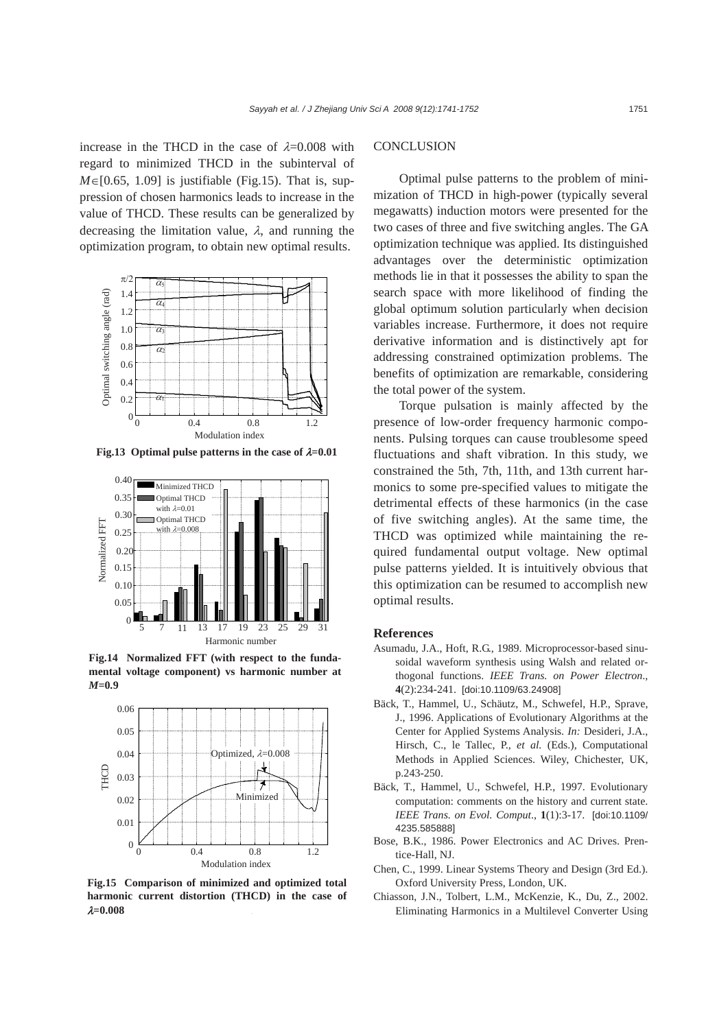increase in the THCD in the case of  $\lambda$ =0.008 with regard to minimized THCD in the subinterval of *M*∈[0*.*65, 1*.09*] is justifiable (Fig.15). That is, suppression of chosen harmonics leads to increase in the value of THCD. These results can be generalized by decreasing the limitation value,  $\lambda$ , and running the optimization program, to obtain new optimal results.



**Fig.13 Optimal pulse patterns in the case of** λ**=0.01** 



**Fig.14 Normalized FFT (with respect to the fundamental voltage component) vs harmonic number at** *M***=0***.***9** 



**Fig.15 Comparison of minimized and optimized total harmonic current distortion (THCD) in the case of**  λ**=0.008** 

# **CONCLUSION**

Optimal pulse patterns to the problem of minimization of THCD in high-power (typically several megawatts) induction motors were presented for the two cases of three and five switching angles. The GA optimization technique was applied. Its distinguished advantages over the deterministic optimization methods lie in that it possesses the ability to span the search space with more likelihood of finding the global optimum solution particularly when decision variables increase. Furthermore, it does not require derivative information and is distinctively apt for addressing constrained optimization problems. The benefits of optimization are remarkable, considering the total power of the system.

Torque pulsation is mainly affected by the presence of low-order frequency harmonic components. Pulsing torques can cause troublesome speed fluctuations and shaft vibration. In this study, we constrained the 5th, 7th, 11th, and 13th current harmonics to some pre-specified values to mitigate the detrimental effects of these harmonics (in the case of five switching angles). At the same time, the THCD was optimized while maintaining the required fundamental output voltage. New optimal pulse patterns yielded. It is intuitively obvious that this optimization can be resumed to accomplish new optimal results.

#### **References**

- Asumadu, J.A., Hoft, R.G., 1989. Microprocessor-based sinusoidal waveform synthesis using Walsh and related orthogonal functions. *IEEE Trans. on Power Electron*., **4**(2):234-241. [doi:10.1109/63.24908]
- Bäck, T., Hammel, U., Schäutz, M., Schwefel, H.P., Sprave, J., 1996. Applications of Evolutionary Algorithms at the Center for Applied Systems Analysis. *In:* Desideri, J.A., Hirsch, C., le Tallec, P., *et al.* (Eds.), Computational Methods in Applied Sciences. Wiley, Chichester, UK, p.243-250.
- Bäck, T., Hammel, U., Schwefel, H.P., 1997. Evolutionary computation: comments on the history and current state. *IEEE Trans. on Evol. Comput*., **1**(1):3-17. [doi:10.1109/ 4235.585888]
- Bose, B.K., 1986. Power Electronics and AC Drives. Prentice-Hall, NJ.
- Chen, C., 1999. Linear Systems Theory and Design (3rd Ed.). Oxford University Press, London, UK.
- Chiasson, J.N., Tolbert, L.M., McKenzie, K., Du, Z., 2002. Eliminating Harmonics in a Multilevel Converter Using